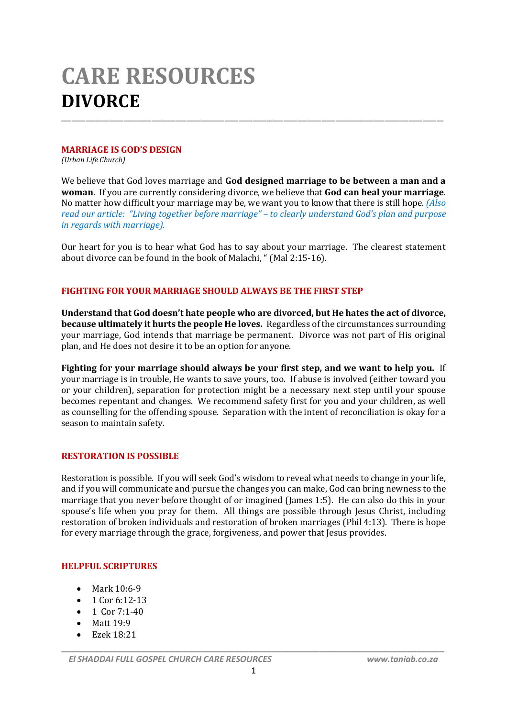# **CARE RESOURCES DIVORCE**

# **MARRIAGE IS GOD'S DESIGN**

*(Urban Life Church)*

We believe that God loves marriage and **God designed marriage to be between a man and a woman**. If you are currently considering divorce, we believe that **God can heal your marriage**. No matter how difficult your marriage may be, we want you to know that there is still hope. *(Also read our article: "Living together before marriage" – to clearly understand God's plan and purpose in regards with marriage).*

\_\_\_\_\_\_\_\_\_\_\_\_\_\_\_\_\_\_\_\_\_\_\_\_\_\_\_\_\_\_\_\_\_\_\_\_\_\_\_\_\_\_\_\_\_\_\_\_\_\_\_\_\_\_\_\_\_\_\_\_\_\_\_\_\_\_\_\_\_\_\_\_\_\_\_\_\_\_\_\_\_\_\_\_\_\_\_\_\_\_\_\_\_\_\_\_\_\_\_\_\_\_\_\_\_\_\_\_\_\_

Our heart for you is to hear what God has to say about your marriage. The clearest statement about divorce can be found in the book of Malachi, " (Mal 2:15-16).

# **FIGHTING FOR YOUR MARRIAGE SHOULD ALWAYS BE THE FIRST STEP**

**Understand that God doesn't hate people who are divorced, but He hates the act of divorce, because ultimately it hurts the people He loves.** Regardless of the circumstances surrounding your marriage, God intends that marriage be permanent. Divorce was not part of His original plan, and He does not desire it to be an option for anyone.

**Fighting for your marriage should always be your first step, and we want to help you.** If your marriage is in trouble, He wants to save yours, too. If abuse is involved (either toward you or your children), separation for protection might be a necessary next step until your spouse becomes repentant and changes. We recommend safety first for you and your children, as well as counselling for the offending spouse. Separation with the intent of reconciliation is okay for a season to maintain safety.

# **RESTORATION IS POSSIBLE**

Restoration is possible. If you will seek God's wisdom to reveal what needs to change in your life, and if you will communicate and pursue the changes you can make, God can bring newness to the marriage that you never before thought of or imagined (James 1:5). He can also do this in your spouse's life when you pray for them. All things are possible through Jesus Christ, including restoration of broken individuals and restoration of broken marriages (Phil 4:13). There is hope for every marriage through the grace, forgiveness, and power that Jesus provides.

#### **HELPFUL SCRIPTURES**

- Mark 10:6-9
- $\bullet$  1 Cor 6:12-13
- $\bullet$  1 Cor 7:1-40
- $\bullet$  Matt 19:9
- Ezek 18:21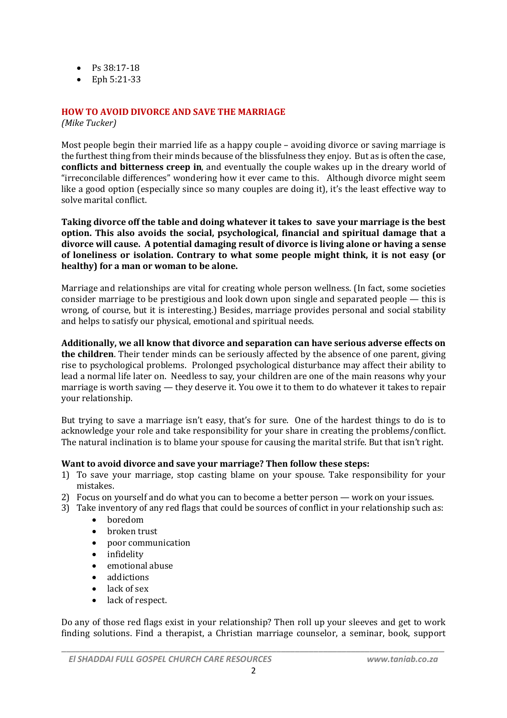- $\bullet$  Ps 38:17-18
- Eph 5:21-33

#### **HOW TO AVOID DIVORCE AND SAVE THE MARRIAGE**

*(Mike Tucker)*

Most people begin their married life as a happy couple – avoiding divorce or saving marriage is the furthest thing from their minds because of the blissfulness they enjoy. But as is often the case, **conflicts and bitterness creep in**, and eventually the couple wakes up in the dreary world of "irreconcilable differences" wondering how it ever came to this. Although divorce might seem like a good option (especially since so many couples are doing it), it's the least effective way to solve marital conflict.

**Taking divorce off the table and doing whatever it takes to save your marriage is the best option. This also avoids the social, psychological, financial and spiritual damage that a divorce will cause. A potential damaging result of divorce is living alone or having a sense of loneliness or isolation. Contrary to what some people might think, it is not easy (or healthy) for a man or woman to be alone.**

Marriage and relationships are vital for creating whole person wellness. (In fact, some societies consider marriage to be prestigious and look down upon single and separated people — this is wrong, of course, but it is interesting.) Besides, marriage provides personal and social stability and helps to satisfy our physical, emotional and spiritual needs.

**Additionally, we all know that divorce and separation can have serious adverse effects on the children**. Their tender minds can be seriously affected by the absence of one parent, giving rise to psychological problems. Prolonged psychological disturbance may affect their ability to lead a normal life later on. Needless to say, your children are one of the main reasons why your marriage is worth saving — they deserve it. You owe it to them to do whatever it takes to repair your relationship.

But trying to save a marriage isn't easy, that's for sure. One of the hardest things to do is to acknowledge your role and take responsibility for your share in creating the problems/conflict. The natural inclination is to blame your spouse for causing the marital strife. But that isn't right.

#### **Want to avoid divorce and save your marriage? Then follow these steps:**

- 1) To save your marriage, stop casting blame on your spouse. Take responsibility for your mistakes.
- 2) Focus on yourself and do what you can to become a better person work on your issues.
- 3) Take inventory of any red flags that could be sources of conflict in your relationship such as:
	- boredom
	- broken trust
	- poor communication
	- infidelity
	- emotional abuse
	- addictions
	- lack of sex
	- lack of respect.

Do any of those red flags exist in your relationship? Then roll up your sleeves and get to work finding solutions. Find a therapist, a Christian marriage counselor, a seminar, book, support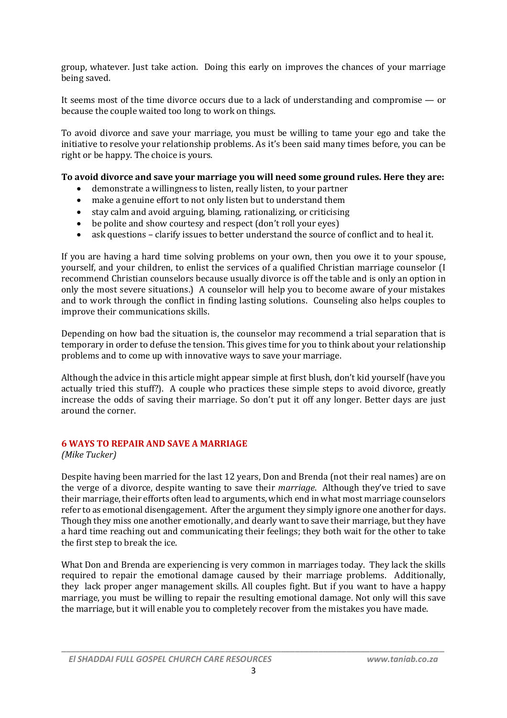group, whatever. Just take action. Doing this early on improves the chances of your marriage being saved.

It seems most of the time divorce occurs due to a lack of understanding and compromise — or because the couple waited too long to work on things.

To avoid divorce and save your marriage, you must be willing to tame your ego and take the initiative to resolve your relationship problems. As it's been said many times before, you can be right or be happy. The choice is yours.

#### **To avoid divorce and save your marriage you will need some ground rules. Here they are:**

- demonstrate a willingness to listen, really listen, to your partner
- make a genuine effort to not only listen but to understand them
- stay calm and avoid arguing, blaming, rationalizing, or criticising
- be polite and show courtesy and respect (don't roll your eyes)
- ask questions clarify issues to better understand the source of conflict and to heal it.

If you are having a hard time solving problems on your own, then you owe it to your spouse, yourself, and your children, to enlist the services of a qualified Christian marriage counselor (I recommend Christian counselors because usually divorce is off the table and is only an option in only the most severe situations.) A counselor will help you to become aware of your mistakes and to work through the conflict in finding lasting solutions. Counseling also helps couples to improve their communications skills.

Depending on how bad the situation is, the counselor may recommend a trial separation that is temporary in order to defuse the tension. This gives time for you to think about your relationship problems and to come up with innovative ways to save your marriage.

Although the advice in this article might appear simple at first blush, don't kid yourself (have you actually tried this stuff?). A couple who practices these simple steps to avoid divorce, greatly increase the odds of saving their marriage. So don't put it off any longer. Better days are just around the corner.

# **6 WAYS TO REPAIR AND SAVE A MARRIAGE**

*(Mike Tucker)*

Despite having been married for the last 12 years, Don and Brenda (not their real names) are on the verge of a divorce, despite wanting to save their *marriage*. Although they've tried to save their marriage, their efforts often lead to arguments, which end in what most marriage counselors refer to as emotional disengagement. After the argument they simply ignore one another for days. Though they miss one another emotionally, and dearly want to save their marriage, but they have a hard time reaching out and communicating their feelings; they both wait for the other to take the first step to break the ice.

What Don and Brenda are experiencing is very common in marriages today. They lack the skills required to repair the emotional damage caused by their marriage problems. Additionally, they lack proper anger management skills. All couples fight. But if you want to have a happy marriage, you must be willing to repair the resulting emotional damage. Not only will this save the marriage, but it will enable you to completely recover from the mistakes you have made.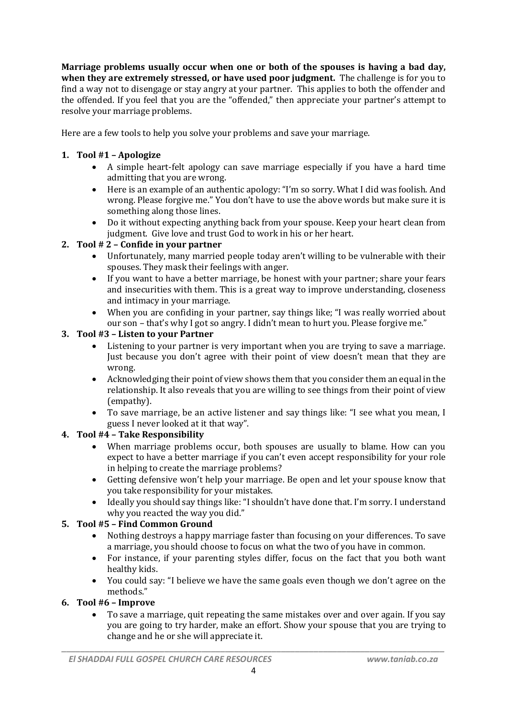**Marriage problems usually occur when one or both of the spouses is having a bad day, when they are extremely stressed, or have used poor judgment.** The challenge is for you to find a way not to disengage or stay angry at your partner. This applies to both the offender and the offended. If you feel that you are the "offended," then appreciate your partner's attempt to resolve your marriage problems.

Here are a few tools to help you solve your problems and save your marriage.

# **1. Tool #1 – Apologize**

- A simple heart-felt apology can save marriage especially if you have a hard time admitting that you are wrong.
- Here is an example of an authentic apology: "I'm so sorry. What I did was foolish. And wrong. Please forgive me." You don't have to use the above words but make sure it is something along those lines.
- Do it without expecting anything back from your spouse. Keep your heart clean from judgment. Give love and trust God to work in his or her heart.

# **2. Tool # 2 – Confide in your partner**

- Unfortunately, many married people today aren't willing to be vulnerable with their spouses. They mask their feelings with anger.
- If you want to have a better marriage, be honest with your partner; share your fears and insecurities with them. This is a great way to improve understanding, closeness and intimacy in your marriage.
- When you are confiding in your partner, say things like; "I was really worried about our son – that's why I got so angry. I didn't mean to hurt you. Please forgive me."

# **3. Tool #3 – Listen to your Partner**

- Listening to your partner is very important when you are trying to save a marriage. Just because you don't agree with their point of view doesn't mean that they are wrong.
- Acknowledging their point of view shows them that you consider them an equal in the relationship. It also reveals that you are willing to see things from their point of view (empathy).
- To save marriage, be an active listener and say things like: "I see what you mean, I guess I never looked at it that way".

# **4. Tool #4 – Take Responsibility**

- When marriage problems occur, both spouses are usually to blame. How can you expect to have a better marriage if you can't even accept responsibility for your role in helping to create the marriage problems?
- Getting defensive won't help your marriage. Be open and let your spouse know that you take responsibility for your mistakes.
- Ideally you should say things like: "I shouldn't have done that. I'm sorry. I understand why you reacted the way you did."

# **5. Tool #5 – Find Common Ground**

- Nothing destroys a happy marriage faster than focusing on your differences. To save a marriage, you should choose to focus on what the two of you have in common.
- For instance, if your parenting styles differ, focus on the fact that you both want healthy kids.
- You could say: "I believe we have the same goals even though we don't agree on the methods."

# **6. Tool #6 – Improve**

 To save a marriage, quit repeating the same mistakes over and over again. If you say you are going to try harder, make an effort. Show your spouse that you are trying to change and he or she will appreciate it.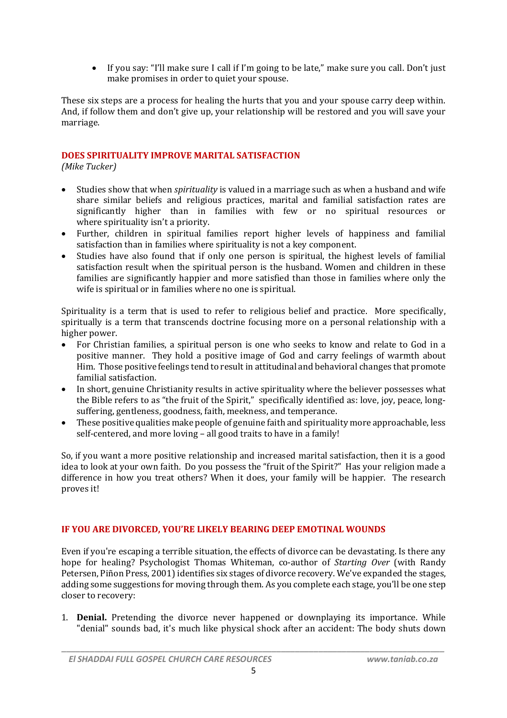If you say: "I'll make sure I call if I'm going to be late," make sure you call. Don't just make promises in order to quiet your spouse.

These six steps are a process for healing the hurts that you and your spouse carry deep within. And, if follow them and don't give up, your relationship will be restored and you will save your marriage.

# **DOES SPIRITUALITY IMPROVE MARITAL SATISFACTION**

*(Mike Tucker)*

- Studies show that when *spirituality* is valued in a marriage such as when a husband and wife share similar beliefs and religious practices, marital and familial satisfaction rates are significantly higher than in families with few or no spiritual resources or where spirituality isn't a priority.
- Further, children in spiritual families report higher levels of happiness and familial satisfaction than in families where spirituality is not a key component.
- Studies have also found that if only one person is spiritual, the highest levels of familial satisfaction result when the spiritual person is the husband. Women and children in these families are significantly happier and more satisfied than those in families where only the wife is spiritual or in families where no one is spiritual.

Spirituality is a term that is used to refer to religious belief and practice. More specifically, spiritually is a term that transcends doctrine focusing more on a personal relationship with a higher power.

- For Christian families, a spiritual person is one who seeks to know and relate to God in a positive manner. They hold a positive image of God and carry feelings of warmth about Him. Those positive feelings tend to result in attitudinal and behavioral changes that promote familial satisfaction.
- In short, genuine Christianity results in active spirituality where the believer possesses what the Bible refers to as "the fruit of the Spirit," specifically identified as: love, joy, peace, longsuffering, gentleness, goodness, faith, meekness, and temperance.
- These positive qualities make people of genuine faith and spirituality more approachable, less self-centered, and more loving – all good traits to have in a family!

So, if you want a more positive relationship and increased marital satisfaction, then it is a good idea to look at your own faith. Do you possess the "fruit of the Spirit?" Has your religion made a difference in how you treat others? When it does, your family will be happier. The research proves it!

# **IF YOU ARE DIVORCED, YOU'RE LIKELY BEARING DEEP EMOTINAL WOUNDS**

Even if you're escaping a terrible situation, the effects of divorce can be devastating. Is there any hope for healing? Psychologist Thomas Whiteman, co-author of *Starting Over* (with Randy Petersen, Piñon Press, 2001) identifies six stages of divorce recovery. We've expanded the stages, adding some suggestions for moving through them. As you complete each stage, you'll be one step closer to recovery:

1. **Denial.** Pretending the divorce never happened or downplaying its importance. While "denial" sounds bad, it's much like physical shock after an accident: The body shuts down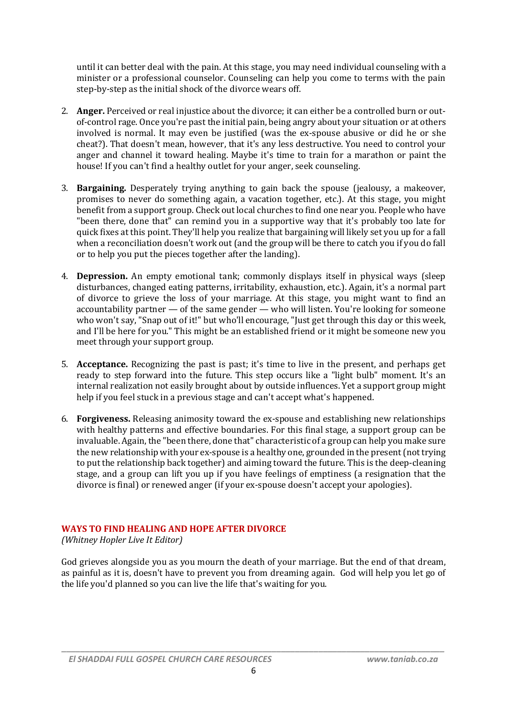until it can better deal with the pain. At this stage, you may need individual counseling with a minister or a professional counselor. Counseling can help you come to terms with the pain step-by-step as the initial shock of the divorce wears off.

- 2. **Anger.** Perceived or real injustice about the divorce; it can either be a controlled burn or outof-control rage. Once you're past the initial pain, being angry about your situation or at others involved is normal. It may even be justified (was the ex-spouse abusive or did he or she cheat?). That doesn't mean, however, that it's any less destructive. You need to control your anger and channel it toward healing. Maybe it's time to train for a marathon or paint the house! If you can't find a healthy outlet for your anger, seek counseling.
- 3. **Bargaining.** Desperately trying anything to gain back the spouse (jealousy, a makeover, promises to never do something again, a vacation together, etc.). At this stage, you might benefit from a support group. Check out local churches to find one near you. People who have "been there, done that" can remind you in a supportive way that it's probably too late for quick fixes at this point. They'll help you realize that bargaining will likely set you up for a fall when a reconciliation doesn't work out (and the group will be there to catch you if you do fall or to help you put the pieces together after the landing).
- 4. **Depression.** An empty emotional tank; commonly displays itself in physical ways (sleep disturbances, changed eating patterns, irritability, exhaustion, etc.). Again, it's a normal part of divorce to grieve the loss of your marriage. At this stage, you might want to find an accountability partner — of the same gender — who will listen. You're looking for someone who won't say, "Snap out of it!" but who'll encourage, "Just get through this day or this week, and I'll be here for you." This might be an established friend or it might be someone new you meet through your support group.
- 5. **Acceptance.** Recognizing the past is past; it's time to live in the present, and perhaps get ready to step forward into the future. This step occurs like a "light bulb" moment. It's an internal realization not easily brought about by outside influences. Yet a support group might help if you feel stuck in a previous stage and can't accept what's happened.
- 6. **Forgiveness.** Releasing animosity toward the ex-spouse and establishing new relationships with healthy patterns and effective boundaries. For this final stage, a support group can be invaluable. Again, the "been there, done that" characteristic of a group can help you make sure the new relationship with your ex-spouse is a healthy one, grounded in the present (not trying to put the relationship back together) and aiming toward the future. This is the deep-cleaning stage, and a group can lift you up if you have feelings of emptiness (a resignation that the divorce is final) or renewed anger (if your ex-spouse doesn't accept your apologies).

# **WAYS TO FIND HEALING AND HOPE AFTER DIVORCE**

*(Whitney Hopler Live It Editor)*

God grieves alongside you as you mourn the death of your marriage. But the end of that dream, as painful as it is, doesn't have to prevent you from dreaming again. God will help you let go of the life you'd planned so you can live the life that's waiting for you.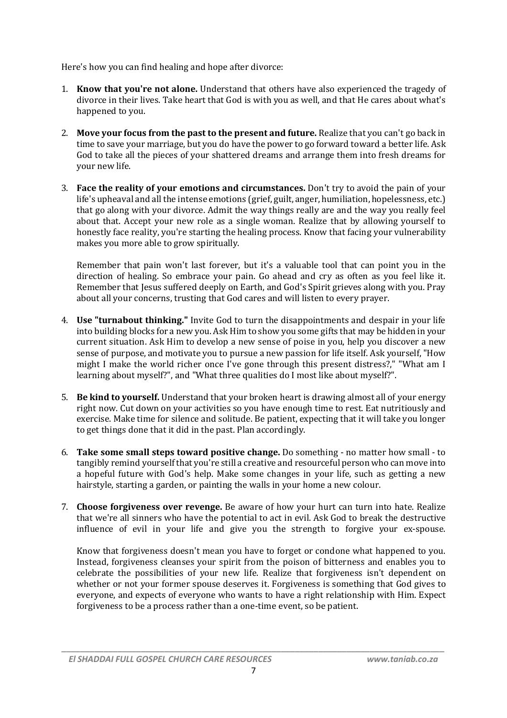Here's how you can find healing and hope after divorce:

- 1. **Know that you're not alone.** Understand that others have also experienced the tragedy of divorce in their lives. Take heart that God is with you as well, and that He cares about what's happened to you.
- 2. **Move your focus from the past to the present and future.** Realize that you can't go back in time to save your marriage, but you do have the power to go forward toward a better life. Ask God to take all the pieces of your shattered dreams and arrange them into fresh dreams for your new life.
- 3. **Face the reality of your emotions and circumstances.** Don't try to avoid the pain of your life's upheaval and all the intense emotions (grief, guilt, anger, humiliation, hopelessness, etc.) that go along with your divorce. Admit the way things really are and the way you really feel about that. Accept your new role as a single woman. Realize that by allowing yourself to honestly face reality, you're starting the healing process. Know that facing your vulnerability makes you more able to grow spiritually.

Remember that pain won't last forever, but it's a valuable tool that can point you in the direction of healing. So embrace your pain. Go ahead and cry as often as you feel like it. Remember that Jesus suffered deeply on Earth, and God's Spirit grieves along with you. Pray about all your concerns, trusting that God cares and will listen to every prayer.

- 4. **Use "turnabout thinking."** Invite God to turn the disappointments and despair in your life into building blocks for a new you. Ask Him to show you some gifts that may be hidden in your current situation. Ask Him to develop a new sense of poise in you, help you discover a new sense of purpose, and motivate you to pursue a new passion for life itself. Ask yourself, "How might I make the world richer once I've gone through this present distress?," "What am I learning about myself?", and "What three qualities do I most like about myself?".
- 5. **Be kind to yourself.** Understand that your broken heart is drawing almost all of your energy right now. Cut down on your activities so you have enough time to rest. Eat nutritiously and exercise. Make time for silence and solitude. Be patient, expecting that it will take you longer to get things done that it did in the past. Plan accordingly.
- 6. **Take some small steps toward positive change.** Do something no matter how small to tangibly remind yourself that you're still a creative and resourceful person who can move into a hopeful future with God's help. Make some changes in your life, such as getting a new hairstyle, starting a garden, or painting the walls in your home a new colour.
- 7. **Choose forgiveness over revenge.** Be aware of how your hurt can turn into hate. Realize that we're all sinners who have the potential to act in evil. Ask God to break the destructive influence of evil in your life and give you the strength to forgive your ex-spouse.

Know that forgiveness doesn't mean you have to forget or condone what happened to you. Instead, forgiveness cleanses your spirit from the poison of bitterness and enables you to celebrate the possibilities of your new life. Realize that forgiveness isn't dependent on whether or not your former spouse deserves it. Forgiveness is something that God gives to everyone, and expects of everyone who wants to have a right relationship with Him. Expect forgiveness to be a process rather than a one-time event, so be patient.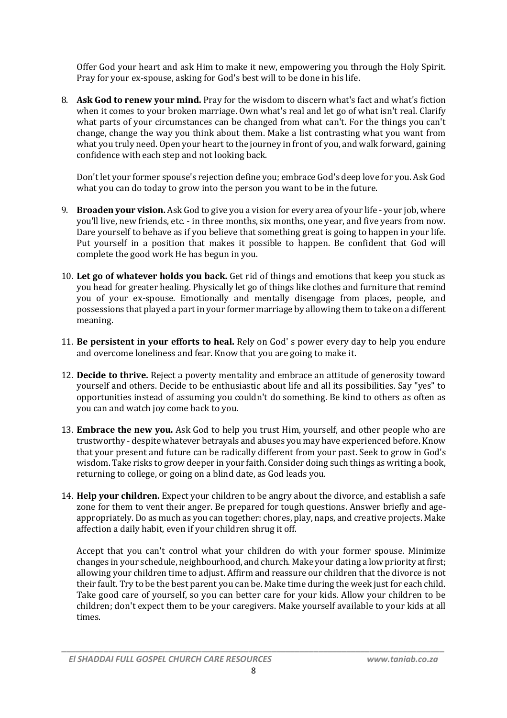Offer God your heart and ask Him to make it new, empowering you through the Holy Spirit. Pray for your ex-spouse, asking for God's best will to be done in his life.

8. **Ask God to renew your mind.** Pray for the wisdom to discern what's fact and what's fiction when it comes to your broken marriage. Own what's real and let go of what isn't real. Clarify what parts of your circumstances can be changed from what can't. For the things you can't change, change the way you think about them. Make a list contrasting what you want from what you truly need. Open your heart to the journey in front of you, and walk forward, gaining confidence with each step and not looking back.

Don't let your former spouse's rejection define you; embrace God's deep love for you. Ask God what you can do today to grow into the person you want to be in the future.

- 9. **Broaden your vision.** Ask God to give you a vision for every area of your life your job, where you'll live, new friends, etc. - in three months, six months, one year, and five years from now. Dare yourself to behave as if you believe that something great is going to happen in your life. Put yourself in a position that makes it possible to happen. Be confident that God will complete the good work He has begun in you.
- 10. **Let go of whatever holds you back.** Get rid of things and emotions that keep you stuck as you head for greater healing. Physically let go of things like clothes and furniture that remind you of your ex-spouse. Emotionally and mentally disengage from places, people, and possessions that played a part in your former marriage by allowing them to take on a different meaning.
- 11. **Be persistent in your efforts to heal.** Rely on God' s power every day to help you endure and overcome loneliness and fear. Know that you are going to make it.
- 12. **Decide to thrive.** Reject a poverty mentality and embrace an attitude of generosity toward yourself and others. Decide to be enthusiastic about life and all its possibilities. Say "yes" to opportunities instead of assuming you couldn't do something. Be kind to others as often as you can and watch joy come back to you.
- 13. **Embrace the new you.** Ask God to help you trust Him, yourself, and other people who are trustworthy - despite whatever betrayals and abuses you may have experienced before. Know that your present and future can be radically different from your past. Seek to grow in God's wisdom. Take risks to grow deeper in your faith. Consider doing such things as writing a book, returning to college, or going on a blind date, as God leads you.
- 14. **Help your children.** Expect your children to be angry about the divorce, and establish a safe zone for them to vent their anger. Be prepared for tough questions. Answer briefly and ageappropriately. Do as much as you can together: chores, play, naps, and creative projects. Make affection a daily habit, even if your children shrug it off.

Accept that you can't control what your children do with your former spouse. Minimize changes in your schedule, neighbourhood, and church. Make your dating a low priority at first; allowing your children time to adjust. Affirm and reassure our children that the divorce is not their fault. Try to be the best parent you can be. Make time during the week just for each child. Take good care of yourself, so you can better care for your kids. Allow your children to be children; don't expect them to be your caregivers. Make yourself available to your kids at all times.